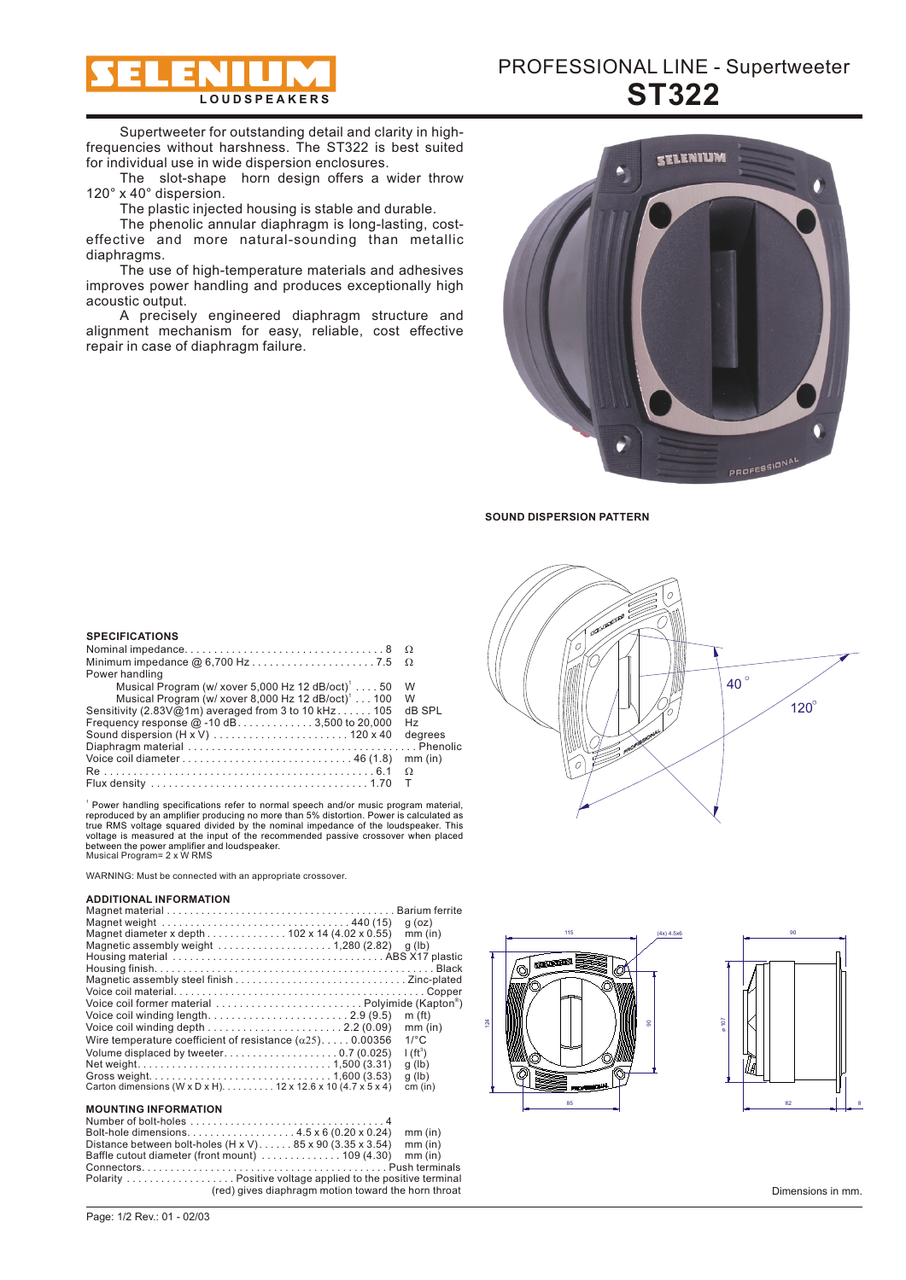

Supertweeter for outstanding detail and clarity in highfrequencies without harshness. The ST322 is best suited for individual use in wide dispersion enclosures.

The slot-shape horn design offers a wider throw 120° x 40° dispersion.

The plastic injected housing is stable and durable.

The phenolic annular diaphragm is long-lasting, costeffective and more natural-sounding than metallic diaphragms.

The use of high-temperature materials and adhesives improves power handling and produces exceptionally high acoustic output.

A precisely engineered diaphragm structure and alignment mechanism for easy, reliable, cost effective repair in case of diaphragm failure.



**SOUND DISPERSION PATTERN**

| Power handling                                                    |           |
|-------------------------------------------------------------------|-----------|
| Musical Program (w/ xover 5,000 Hz 12 dB/oct) <sup>1</sup> 50     | W         |
| Musical Program (w/ xover 8,000 Hz 12 $dB/oct$ ) <sup>1</sup> 100 | W         |
| Sensitivity (2.83V@1m) averaged from 3 to 10 kHz105               | dB SPL    |
| Frequency response $@-10$ dB3,500 to 20,000                       | Hz        |
|                                                                   | degrees   |
|                                                                   |           |
|                                                                   | $mm$ (in) |
|                                                                   | $\Omega$  |
|                                                                   |           |

Musical Program= 2 x W RMS Power handling specifications refer to normal speech and/or music program material, reproduced by an amplifier producing no more than 5% distortion. Power is calculated as true RMS voltage squared divided by the norminal i

WARNING: Must be connected with an appropriate crossover.

#### **ADDITIONAL INFORMATION**

**SPECIFICATIONS**

| Magnet weight $\ldots \ldots \ldots \ldots \ldots \ldots \ldots \ldots \ldots \ldots \ldots$ . 440 (15) | $q$ (oz)                |
|---------------------------------------------------------------------------------------------------------|-------------------------|
| Magnet diameter x depth 102 x 14 (4.02 x 0.55)                                                          | $mm$ (in)               |
| Magnetic assembly weight $\ldots \ldots \ldots \ldots \ldots \ldots 1,280$ (2.82)                       | q (lb)                  |
|                                                                                                         |                         |
|                                                                                                         |                         |
|                                                                                                         |                         |
|                                                                                                         |                         |
|                                                                                                         |                         |
|                                                                                                         | m(f <sub>t</sub> )      |
| Voice coil winding depth $\ldots \ldots \ldots \ldots \ldots \ldots \ldots 2.2$ (0.09)                  | $mm$ (in)               |
| Wire temperature coefficient of resistance $(\alpha 25)$ 0.00356                                        | $1$ <sup>o</sup> $\sim$ |
|                                                                                                         | $I(ft^3)$               |
|                                                                                                         | $q$ (lb)                |
|                                                                                                         | $q$ (lb)                |
| Carton dimensions (W x D x H) 12 x 12.6 x 10 (4.7 x 5 x 4)                                              | cm (in)                 |
|                                                                                                         |                         |

# **MOUNTING INFORMATION**

Number of bolt-holes . . . . . . . . . . . . . . . . . . . . . . . . . . . . . . . . . . 4 Bolt-hole dimensions. . . . . . . . . . . . . . . . . . . 4.5 x 6 (0.20 x 0.24) mm (in) Distance between bolt-holes (H x V). . . . . . 85 x 90 (3.35 x 3.54) mm (in) Baffle cutout diameter (front mount) . . . . . . . . . . . . . . 109 (4.30) mm (in) Connectors. . . . . . . . . . . . . . . . . . . . . . . . . . . . . . . . . . . . . . . . . . . Push terminals

Polarity . . . . . . . . . . . . . . . . . . . Positive voltage applied to the positive terminal (red) gives diaphragm motion toward the horn throat







Dimensions in mm.